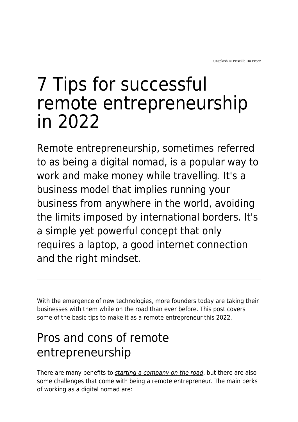# 7 Tips for successful remote entrepreneurship in 2022

Remote entrepreneurship, sometimes referred to as being a digital nomad, is a popular way to work and make money while travelling. It's a business model that implies running your business from anywhere in the world, avoiding the limits imposed by international borders. It's a simple yet powerful concept that only requires a laptop, a good internet connection and the right mindset.

With the emergence of new technologies, more founders today are taking their businesses with them while on the road than ever before. This post covers some of the basic tips to make it as a remote entrepreneur this 2022.

# Pros and cons of remote entrepreneurship

There are many benefits to [starting a company on the road](https://www.maddyness.com/uk/2021/02/24/whats-the-future-of-remote-work/), but there are also some challenges that come with being a remote entrepreneur. The main perks of working as a digital nomad are: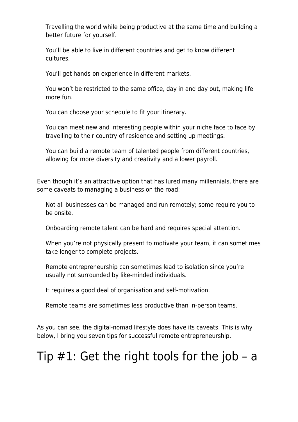Travelling the world while being productive at the same time and building a better future for yourself.

You'll be able to live in different countries and get to know different cultures.

You'll get hands-on experience in different markets.

You won't be restricted to the same office, day in and day out, making life more fun.

You can choose your schedule to fit your itinerary.

You can meet new and interesting people within your niche face to face by travelling to their country of residence and setting up meetings.

You can build a remote team of talented people from different countries, allowing for more diversity and creativity and a lower payroll.

Even though it's an attractive option that has lured many millennials, there are some caveats to managing a business on the road:

Not all businesses can be managed and run remotely; some require you to be onsite.

Onboarding remote talent can be hard and requires special attention.

When you're not physically present to motivate your team, it can sometimes take longer to complete projects.

Remote entrepreneurship can sometimes lead to isolation since you're usually not surrounded by like-minded individuals.

It requires a good deal of organisation and self-motivation.

Remote teams are sometimes less productive than in-person teams.

As you can see, the digital-nomad lifestyle does have its caveats. This is why below, I bring you seven tips for successful remote entrepreneurship.

#### Tip  $#1$ : Get the right tools for the job – a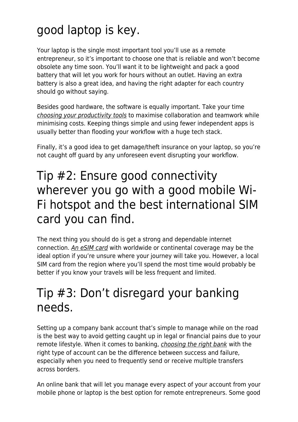# good laptop is key.

Your laptop is the single most important tool you'll use as a remote entrepreneur, so it's important to choose one that is reliable and won't become obsolete any time soon. You'll want it to be lightweight and pack a good battery that will let you work for hours without an outlet. Having an extra battery is also a great idea, and having the right adapter for each country should go without saying.

Besides good hardware, the software is equally important. Take your time [choosing your productivity tools](https://www.maddyness.com/uk/2020/03/05/29-must-have-tools-for-entrepreneurs/) to maximise collaboration and teamwork while minimising costs. Keeping things simple and using fewer independent apps is usually better than flooding your workflow with a huge tech stack.

Finally, it's a good idea to get damage/theft insurance on your laptop, so you're not caught off guard by any unforeseen event disrupting your workflow.

#### Tip #2: Ensure good connectivity wherever you go with a good mobile Wi-Fi hotspot and the best international SIM card you can find.

The next thing you should do is get a strong and dependable internet connection. [An eSIM card](https://www.maddyness.com/uk/2021/11/02/meet-airalo-the-esim-store-looking-to-transform-how-you-connect-abroad/) with worldwide or continental coverage may be the ideal option if you're unsure where your journey will take you. However, a local SIM card from the region where you'll spend the most time would probably be better if you know your travels will be less frequent and limited.

#### Tip #3: Don't disregard your banking needs.

Setting up a company bank account that's simple to manage while on the road is the best way to avoid getting caught up in legal or financial pains due to your remote lifestyle. When it comes to banking, [choosing the right bank](https://www.yoreoyster.com/blog/banks-canada/) with the right type of account can be the difference between success and failure, especially when you need to frequently send or receive multiple transfers across borders.

An online bank that will let you manage every aspect of your account from your mobile phone or laptop is the best option for remote entrepreneurs. Some good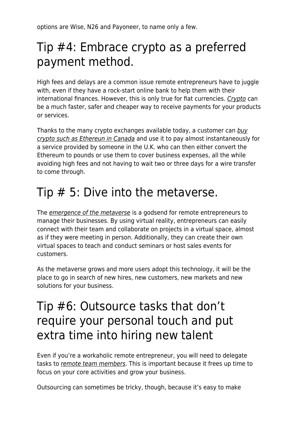options are Wise, N26 and Payoneer, to name only a few.

#### Tip #4: Embrace crypto as a preferred payment method.

High fees and delays are a common issue remote entrepreneurs have to juggle with, even if they have a rock-start online bank to help them with their international finances. However, this is only true for fiat currencies. [Crypto](https://www.maddyness.com/uk/2021/10/29/how-to-leverage-crypto-to-scale-your-business/) can be a much faster, safer and cheaper way to receive payments for your products or services.

Thanks to the many crypto exchanges available today, a customer can [buy](https://www.yoreoyster.com/blog/ethereum-canada/) [crypto such as Ethereun in Canada](https://www.yoreoyster.com/blog/ethereum-canada/) and use it to pay almost instantaneously for a service provided by someone in the U.K. who can then either convert the Ethereum to pounds or use them to cover business expenses, all the while avoiding high fees and not having to wait two or three days for a wire transfer to come through.

#### Tip  $# 5$ : Dive into the metaverse.

The *[emergence of the metaverse](https://www.maddyness.com/uk/2021/11/01/facebook-rebrand-everything-you-need-to-know-about-the-move-to-meta/)* is a godsend for remote entrepreneurs to manage their businesses. By using virtual reality, entrepreneurs can easily connect with their team and collaborate on projects in a virtual space, almost as if they were meeting in person. Additionally, they can create their own virtual spaces to teach and conduct seminars or host sales events for customers.

As the metaverse grows and more users adopt this technology, it will be the place to go in search of new hires, new customers, new markets and new solutions for your business.

#### Tip #6: Outsource tasks that don't require your personal touch and put extra time into hiring new talent

Even if you're a workaholic remote entrepreneur, you will need to delegate tasks to [remote team members](https://www.maddyness.com/uk/2020/06/05/remote-work-how-to-hire-virtually-and-avoid-toxic-employees/). This is important because it frees up time to focus on your core activities and grow your business.

Outsourcing can sometimes be tricky, though, because it's easy to make